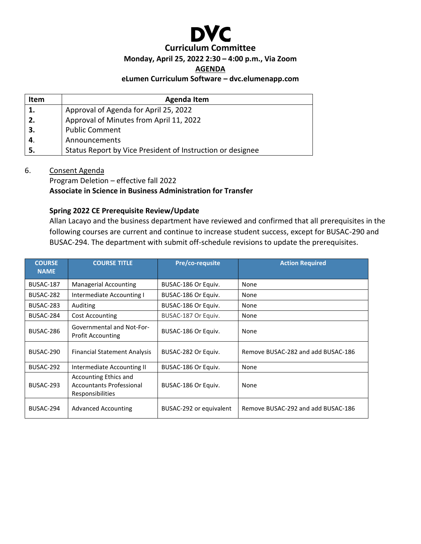

#### **Monday, April 25, 2022 2:30 – 4:00 p.m., Via Zoom**

**AGENDA**

#### **eLumen Curriculum Software – dvc.elumenapp.com**

| <b>Item</b> | <b>Agenda Item</b>                                         |
|-------------|------------------------------------------------------------|
| 1.          | Approval of Agenda for April 25, 2022                      |
| 2.          | Approval of Minutes from April 11, 2022                    |
| 3.          | <b>Public Comment</b>                                      |
| 4.          | Announcements                                              |
| 5.          | Status Report by Vice President of Instruction or designee |

6. Consent Agenda

Program Deletion – effective fall 2022 **Associate in Science in Business Administration for Transfer**

# **Spring 2022 CE Prerequisite Review/Update**

Allan Lacayo and the business department have reviewed and confirmed that all prerequisites in the following courses are current and continue to increase student success, except for BUSAC-290 and BUSAC-294. The department with submit off-schedule revisions to update the prerequisites.

| <b>COURSE</b><br><b>NAME</b> | <b>COURSE TITLE</b>                                                          | Pre/co-requsite         | <b>Action Required</b>             |
|------------------------------|------------------------------------------------------------------------------|-------------------------|------------------------------------|
| BUSAC-187                    | Managerial Accounting                                                        | BUSAC-186 Or Equiv.     | None                               |
| BUSAC-282                    | Intermediate Accounting I                                                    | BUSAC-186 Or Equiv.     | None                               |
| BUSAC-283                    | Auditing                                                                     | BUSAC-186 Or Equiv.     | None                               |
| BUSAC-284                    | <b>Cost Accounting</b>                                                       | BUSAC-187 Or Equiv.     | None                               |
| BUSAC-286                    | <b>Governmental and Not-For-</b><br><b>Profit Accounting</b>                 | BUSAC-186 Or Equiv.     | None                               |
| BUSAC-290                    | <b>Financial Statement Analysis</b>                                          | BUSAC-282 Or Equiv.     | Remove BUSAC-282 and add BUSAC-186 |
| BUSAC-292                    | Intermediate Accounting II                                                   | BUSAC-186 Or Equiv.     | None                               |
| BUSAC-293                    | Accounting Ethics and<br><b>Accountants Professional</b><br>Responsibilities | BUSAC-186 Or Equiv.     | None                               |
| BUSAC-294                    | <b>Advanced Accounting</b>                                                   | BUSAC-292 or equivalent | Remove BUSAC-292 and add BUSAC-186 |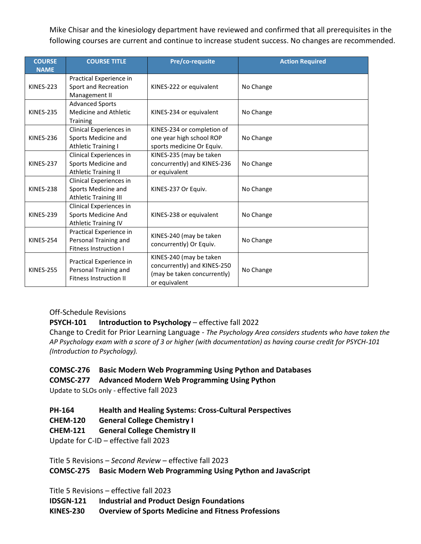Mike Chisar and the kinesiology department have reviewed and confirmed that all prerequisites in the following courses are current and continue to increase student success. No changes are recommended.

| <b>COURSE</b><br><b>NAME</b> | <b>COURSE TITLE</b>                                                               | Pre/co-requsite                                                                                        | <b>Action Required</b> |
|------------------------------|-----------------------------------------------------------------------------------|--------------------------------------------------------------------------------------------------------|------------------------|
| <b>KINES-223</b>             | Practical Experience in<br>Sport and Recreation<br>Management II                  | KINES-222 or equivalent                                                                                | No Change              |
| <b>KINES-235</b>             | <b>Advanced Sports</b><br>Medicine and Athletic<br>Training                       | KINES-234 or equivalent                                                                                | No Change              |
| <b>KINES-236</b>             | Clinical Experiences in<br>Sports Medicine and<br><b>Athletic Training I</b>      | KINES-234 or completion of<br>one year high school ROP<br>sports medicine Or Equiv.                    | No Change              |
| <b>KINES-237</b>             | Clinical Experiences in<br>Sports Medicine and<br><b>Athletic Training II</b>     | KINES-235 (may be taken<br>concurrently) and KINES-236<br>or equivalent                                | No Change              |
| <b>KINES-238</b>             | Clinical Experiences in<br>Sports Medicine and<br>Athletic Training III           | KINES-237 Or Equiv.                                                                                    | No Change              |
| <b>KINES-239</b>             | Clinical Experiences in<br>Sports Medicine And<br><b>Athletic Training IV</b>     | KINES-238 or equivalent                                                                                | No Change              |
| <b>KINES-254</b>             | Practical Experience in<br>Personal Training and<br><b>Fitness Instruction I</b>  | KINES-240 (may be taken<br>concurrently) Or Equiv.                                                     | No Change              |
| <b>KINES-255</b>             | Practical Experience in<br>Personal Training and<br><b>Fitness Instruction II</b> | KINES-240 (may be taken<br>concurrently) and KINES-250<br>(may be taken concurrently)<br>or equivalent | No Change              |

# Off-Schedule Revisions

# **PSYCH-101 Introduction to Psychology** – effective fall 2022

Change to Credit for Prior Learning Language - *The Psychology Area considers students who have taken the AP Psychology exam with a score of 3 or higher (with documentation) as having course credit for PSYCH-101 (Introduction to Psychology).*

# **COMSC-276 Basic Modern Web Programming Using Python and Databases**

# **COMSC-277 Advanced Modern Web Programming Using Python**

Update to SLOs only - effective fall 2023

- **PH-164 Health and Healing Systems: Cross-Cultural Perspectives**
- **CHEM-120 General College Chemistry I**

# **CHEM-121 General College Chemistry II**

Update for C-ID – effective fall 2023

Title 5 Revisions – *Second Review* – effective fall 2023

**COMSC-275 Basic Modern Web Programming Using Python and JavaScript**

Title 5 Revisions – effective fall 2023

**IDSGN-121 Industrial and Product Design Foundations**

**KINES-230 Overview of Sports Medicine and Fitness Professions**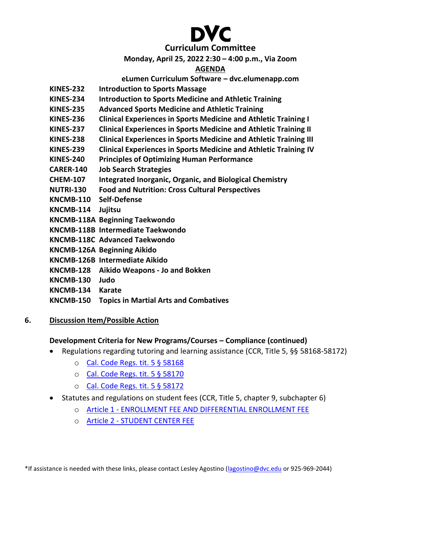# **Curriculum Committee**

# **Monday, April 25, 2022 2:30 – 4:00 p.m., Via Zoom**

# **AGENDA**

# **eLumen Curriculum Software – dvc.elumenapp.com**

- **KINES-232 Introduction to Sports Massage**
- **KINES-234 Introduction to Sports Medicine and Athletic Training**
- **KINES-235 Advanced Sports Medicine and Athletic Training**
- **KINES-236 Clinical Experiences in Sports Medicine and Athletic Training I**
- **KINES-237 Clinical Experiences in Sports Medicine and Athletic Training II**
- **KINES-238 Clinical Experiences in Sports Medicine and Athletic Training III**
- **KINES-239 Clinical Experiences in Sports Medicine and Athletic Training IV**
- **KINES-240 Principles of Optimizing Human Performance**
- **CARER-140 Job Search Strategies**
- **CHEM-107 Integrated Inorganic, Organic, and Biological Chemistry**
- **NUTRI-130 Food and Nutrition: Cross Cultural Perspectives**
- **KNCMB-110 Self-Defense**
- **KNCMB-114 Jujitsu**
- **KNCMB-118A Beginning Taekwondo**
- **KNCMB-118B Intermediate Taekwondo**
- **KNCMB-118C Advanced Taekwondo**
- **KNCMB-126A Beginning Aikido**
- **KNCMB-126B Intermediate Aikido**
- **KNCMB-128 Aikido Weapons - Jo and Bokken**
- **KNCMB-130 Judo**
- **KNCMB-134 Karate**
- **KNCMB-150 Topics in Martial Arts and Combatives**

# **6. Discussion Item/Possible Action**

# **Development Criteria for New Programs/Courses – Compliance (continued)**

- Regulations regarding tutoring and learning assistance (CCR, Title 5, §§ 58168-58172)
	- o [Cal. Code Regs. tit. 5 § 58168](https://casetext.com/regulation/california-code-of-regulations/title-5-education/division-6-california-community-colleges/chapter-9-fiscal-support/subchapter-2-limitations-on-state-aid/article-5-other-limitations/section-58168-tutoring)
	- o [Cal. Code Regs. tit. 5 § 58170](https://casetext.com/regulation/california-code-of-regulations/title-5-education/division-6-california-community-colleges/chapter-9-fiscal-support/subchapter-2-limitations-on-state-aid/article-5-other-limitations/section-58170-apportionment-for-tutoring)
	- o [Cal. Code Regs. tit. 5 § 58172](https://casetext.com/regulation/california-code-of-regulations/title-5-education/division-6-california-community-colleges/chapter-9-fiscal-support/subchapter-2-limitations-on-state-aid/article-5-other-limitations/section-58172-learning-assistance)
- Statutes and regulations on student fees (CCR, Title 5, chapter 9, subchapter 6)
	- o Article 1 [ENROLLMENT FEE AND DIFFERENTIAL ENROLLMENT FEE](https://casetext.com/regulation/california-code-of-regulations/title-5-education/division-6-california-community-colleges/chapter-9-fiscal-support/subchapter-6-student-fees/article-1-enrollment-fee-and-differential-enrollment-fee)
	- o Article 2 [STUDENT CENTER FEE](https://casetext.com/regulation/california-code-of-regulations/title-5-education/division-6-california-community-colleges/chapter-9-fiscal-support/subchapter-6-student-fees/article-2-student-center-fee)

\*If assistance is needed with these links, please contact Lesley Agostino [\(lagostino@dvc.edu](mailto:lagostino@dvc.edu) or 925-969-2044)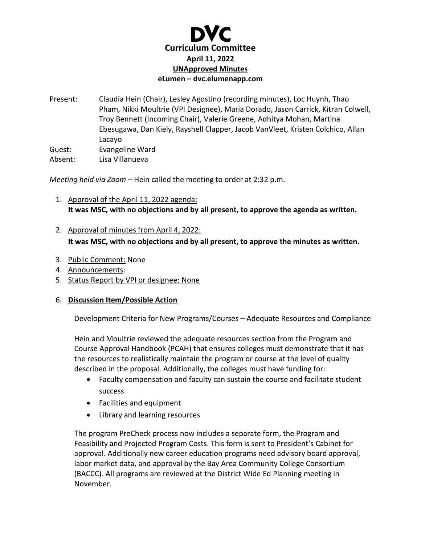

Present: Claudia Hein (Chair), Lesley Agostino (recording minutes), Loc Huynh, Thao Pham, Nikki Moultrie (VPI Designee), Maria Dorado, Jason Carrick, Kitran Colwell, Troy Bennett (Incoming Chair), Valerie Greene, Adhitya Mohan, Martina Ebesugawa, Dan Kiely, Rayshell Clapper, Jacob VanVleet, Kristen Colchico, Allan Lacayo Guest: Evangeline Ward Absent: Lisa Villanueva

*Meeting held via Zoom –* Hein called the meeting to order at 2:32 p.m.

- 1. Approval of the April 11, 2022 agenda: **It was MSC, with no objections and by all present, to approve the agenda as written.**
- 2. Approval of minutes from April 4, 2022: **It was MSC, with no objections and by all present, to approve the minutes as written.**
- 3. Public Comment: None
- 4. Announcements:
- 5. Status Report by VPI or designee: None

# 6. **Discussion Item/Possible Action**

Development Criteria for New Programs/Courses – Adequate Resources and Compliance

Hein and Moultrie reviewed the adequate resources section from the Program and Course Approval Handbook (PCAH) that ensures colleges must demonstrate that it has the resources to realistically maintain the program or course at the level of quality described in the proposal. Additionally, the colleges must have funding for:

- Faculty compensation and faculty can sustain the course and facilitate student success
- Facilities and equipment
- Library and learning resources

The program PreCheck process now includes a separate form, the Program and Feasibility and Projected Program Costs. This form is sent to President's Cabinet for approval. Additionally new career education programs need advisory board approval, labor market data, and approval by the Bay Area Community College Consortium (BACCC). All programs are reviewed at the District Wide Ed Planning meeting in November.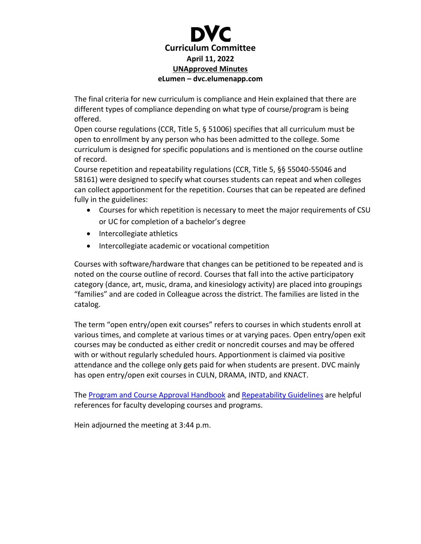

The final criteria for new curriculum is compliance and Hein explained that there are different types of compliance depending on what type of course/program is being offered.

Open course regulations (CCR, Title 5, § 51006) specifies that all curriculum must be open to enrollment by any person who has been admitted to the college. Some curriculum is designed for specific populations and is mentioned on the course outline of record.

Course repetition and repeatability regulations (CCR, Title 5, §§ 55040-55046 and 58161) were designed to specify what courses students can repeat and when colleges can collect apportionment for the repetition. Courses that can be repeated are defined fully in the guidelines:

- Courses for which repetition is necessary to meet the major requirements of CSU or UC for completion of a bachelor's degree
- Intercollegiate athletics
- Intercollegiate academic or vocational competition

Courses with software/hardware that changes can be petitioned to be repeated and is noted on the course outline of record. Courses that fall into the active participatory category (dance, art, music, drama, and kinesiology activity) are placed into groupings "families" and are coded in Colleague across the district. The families are listed in the catalog.

The term "open entry/open exit courses" refers to courses in which students enroll at various times, and complete at various times or at varying paces. Open entry/open exit courses may be conducted as either credit or noncredit courses and may be offered with or without regularly scheduled hours. Apportionment is claimed via positive attendance and the college only gets paid for when students are present. DVC mainly has open entry/open exit courses in CULN, DRAMA, INTD, and KNACT.

The [Program and Course Approval Handbook](https://www.cccco.edu/-/media/CCCCO-Website/Reports/CCCCO_Report_Program_Course_Approval-web-102819.ashx?la=en&hash=8E54C44CB97423B024D18C7AB13C456F91FB03E3) and [Repeatability Guidelines](https://www.cccco.edu/-/media/CCCCO-Website/About-Us/Divisions/Educational-Services-and-Support/Academic-Affairs/What-we-do/Curriculum-and-Instruction-Unit/Files/CreditCourseRepetitionGuidelinesFinal_pdf.ashx?la=en&hash=8E483A6595412289711EB8B42D1A64DD37B91C75) are helpful references for faculty developing courses and programs.

Hein adjourned the meeting at 3:44 p.m.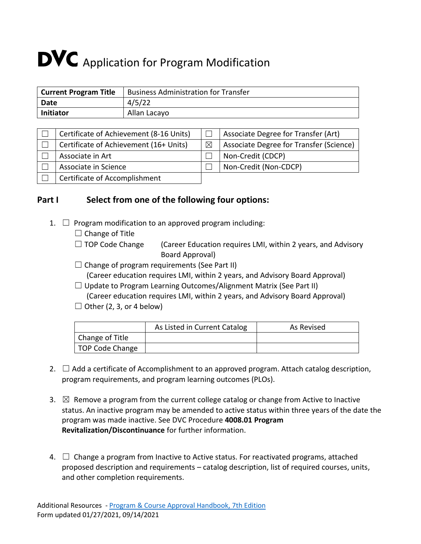# **DVC** Application for Program Modification

| Current Program Title | <b>Business Administration for Transfer</b> |
|-----------------------|---------------------------------------------|
| Date                  | 4/5/22                                      |
| Initiator             | Allan Lacayo                                |

| Certificate of Achievement (8-16 Units) |             | Associate Degree for Transfer (Art)     |
|-----------------------------------------|-------------|-----------------------------------------|
| Certificate of Achievement (16+ Units)  | $\boxtimes$ | Associate Degree for Transfer (Science) |
| Associate in Art                        |             | Non-Credit (CDCP)                       |
| Associate in Science                    |             | Non-Credit (Non-CDCP)                   |
| Certificate of Accomplishment           |             |                                         |

# **Part I Select from one of the following four options:**

- 1.  $\Box$  Program modification to an approved program including:
	- $\Box$  Change of Title
	- $\Box$  TOP Code Change (Career Education requires LMI, within 2 years, and Advisory Board Approval)
	- $\Box$  Change of program requirements (See Part II)
		- (Career education requires LMI, within 2 years, and Advisory Board Approval)
	- $\Box$  Update to Program Learning Outcomes/Alignment Matrix (See Part II)
	- (Career education requires LMI, within 2 years, and Advisory Board Approval)  $\Box$  Other (2, 3, or 4 below)

|  |  | $\Box$ Other (2, 3, 01 + Delow) |  |
|--|--|---------------------------------|--|
|  |  |                                 |  |

|                              | As Listed in Current Catalog | As Revised |
|------------------------------|------------------------------|------------|
| Change of Title              |                              |            |
| <sup>1</sup> TOP Code Change |                              |            |

- 2.  $\Box$  Add a certificate of Accomplishment to an approved program. Attach catalog description, program requirements, and program learning outcomes (PLOs).
- 3.  $\boxtimes$  Remove a program from the current college catalog or change from Active to Inactive status. An inactive program may be amended to active status within three years of the date the program was made inactive. See DVC Procedure **4008.01 Program Revitalization/Discontinuance** for further information.
- 4.  $\Box$  Change a program from Inactive to Active status. For reactivated programs, attached proposed description and requirements – catalog description, list of required courses, units, and other completion requirements.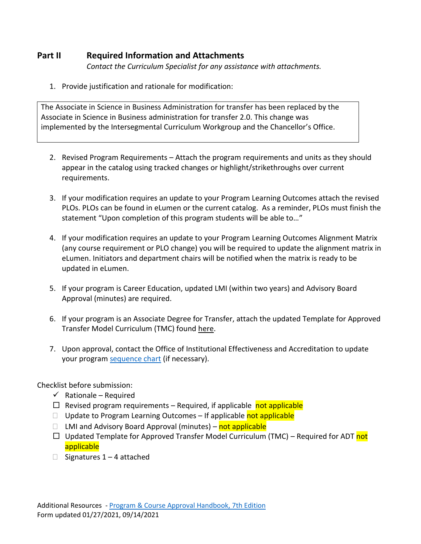# **Part II Required Information and Attachments**

*Contact the Curriculum Specialist for any assistance with attachments.*

1. Provide justification and rationale for modification:

The Associate in Science in Business Administration for transfer has been replaced by the Associate in Science in Business administration for transfer 2.0. This change was implemented by the Intersegmental Curriculum Workgroup and the Chancellor's Office.

- 2. Revised Program Requirements Attach the program requirements and units as they should appear in the catalog using tracked changes or highlight/strikethroughs over current requirements.
- 3. If your modification requires an update to your Program Learning Outcomes attach the revised PLOs. PLOs can be found in eLumen or the current catalog. As a reminder, PLOs must finish the statement "Upon completion of this program students will be able to…"
- 4. If your modification requires an update to your Program Learning Outcomes Alignment Matrix (any course requirement or PLO change) you will be required to update the alignment matrix in eLumen. Initiators and department chairs will be notified when the matrix is ready to be updated in eLumen.
- 5. If your program is Career Education, updated LMI (within two years) and Advisory Board Approval (minutes) are required.
- 6. If your program is an Associate Degree for Transfer, attach the updated Template for Approved Transfer Model Curriculum (TMC) found [here.](https://www.cccco.edu/About-Us/Chancellors-Office/Divisions/Educational-Services-and-Support/What-we-do/Curriculum-and-Instruction-Unit/Templates-For-Approved-Transfer-Model-Curriculum)
- 7. Upon approval, contact the Office of Institutional Effectiveness and Accreditation to update your progra[m sequence chart](https://www.dvc.edu/about/governance/committees/gps/curriculum-mapping-templates.html) (if necessary).

Checklist before submission:

- $\checkmark$  Rationale Required
- $\Box$  Revised program requirements Required, if applicable not applicable
- $\Box$  Update to Program Learning Outcomes If applicable not applicable
- □ LMI and Advisory Board Approval (minutes) not applicable
- $\Box$  Updated Template for Approved Transfer Model Curriculum (TMC) Required for ADT not applicable
- $\Box$  Signatures 1 4 attached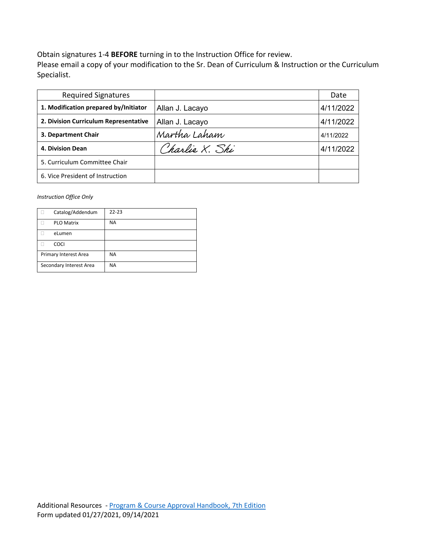Obtain signatures 1-4 **BEFORE** turning in to the Instruction Office for review.

Please email a copy of your modification to the Sr. Dean of Curriculum & Instruction or the Curriculum Specialist.

| <b>Required Signatures</b>            |                 | Date      |
|---------------------------------------|-----------------|-----------|
| 1. Modification prepared by/Initiator | Allan J. Lacayo | 4/11/2022 |
| 2. Division Curriculum Representative | Allan J. Lacayo | 4/11/2022 |
| 3. Department Chair                   | Martha Laham    | 4/11/2022 |
| 4. Division Dean                      | Charlie X. Shi  | 4/11/2022 |
| 5. Curriculum Committee Chair         |                 |           |
| 6. Vice President of Instruction      |                 |           |

*Instruction Office Only*

|                         | Catalog/Addendum      | $22 - 23$ |
|-------------------------|-----------------------|-----------|
|                         | <b>PLO Matrix</b>     | <b>NA</b> |
|                         | eLumen                |           |
|                         | <b>COCI</b>           |           |
|                         | Primary Interest Area | <b>NA</b> |
| Secondary Interest Area |                       | <b>NA</b> |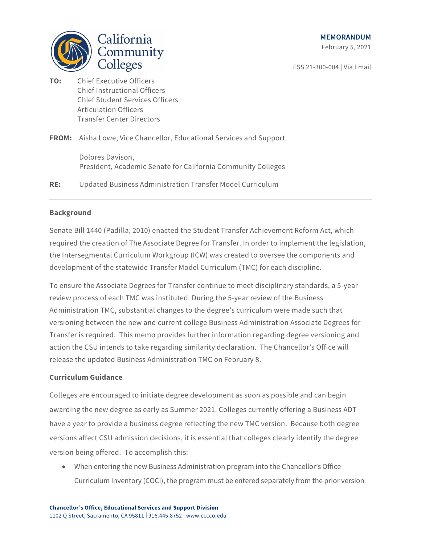



**TO:** Chief Executive Officers Chief Instructional Officers Chief Student Services Officers Articulation Officers Transfer Center Directors

**FROM:** Aisha Lowe, Vice Chancellor, Educational Services and Support

Dolores Davison, President, Academic Senate for California Community Colleges

**RE:** Updated Business Administration Transfer Model Curriculum

#### **Background**

Senate Bill 1440 (Padilla, 2010) enacted the Student Transfer Achievement Reform Act, which required the creation of The Associate Degree for Transfer. In order to implement the legislation, the Intersegmental Curriculum Workgroup (ICW) was created to oversee the components and development of the statewide Transfer Model Curriculum (TMC) for each discipline.

To ensure the Associate Degrees for Transfer continue to meet disciplinary standards, a 5-year review process of each TMC was instituted. During the 5-year review of the Business Administration TMC, substantial changes to the degree's curriculum were made such that versioning between the new and current college Business Administration Associate Degrees for Transfer is required. This memo provides further information regarding degree versioning and action the CSU intends to take regarding similarity declaration. The Chancellor's Office will release the updated Business Administration TMC on February 8.

#### **Curriculum Guidance**

Colleges are encouraged to initiate degree development as soon as possible and can begin awarding the new degree as early as Summer 2021. Colleges currently offering a Business ADT have a year to provide a business degree reflecting the new TMC version. Because both degree versions affect CSU admission decisions, it is essential that colleges clearly identify the degree version being offered. To accomplish this:

• When entering the new Business Administration program into the Chancellor's Office Curriculum Inventory (COCI), the program must be entered separately from the prior version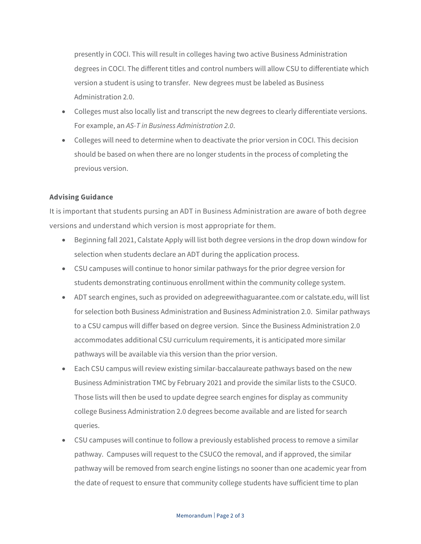presently in COCI. This will result in colleges having two active Business Administration degrees in COCI. The different titles and control numbers will allow CSU to differentiate which version a student is using to transfer. New degrees must be labeled as Business Administration 2.0.

- Colleges must also locally list and transcript the new degrees to clearly differentiate versions. For example, an *AS-T in Business Administration 2.0*.
- Colleges will need to determine when to deactivate the prior version in COCI. This decision should be based on when there are no longer students in the process of completing the previous version.

# **Advising Guidance**

It is important that students pursing an ADT in Business Administration are aware of both degree versions and understand which version is most appropriate for them.

- Beginning fall 2021, Calstate Apply will list both degree versions in the drop down window for selection when students declare an ADT during the application process.
- CSU campuses will continue to honor similar pathways for the prior degree version for students demonstrating continuous enrollment within the community college system.
- ADT search engines, such as provided on adegreewithaguarantee.com or calstate.edu, will list for selection both Business Administration and Business Administration 2.0. Similar pathways to a CSU campus will differ based on degree version. Since the Business Administration 2.0 accommodates additional CSU curriculum requirements, it is anticipated more similar pathways will be available via this version than the prior version.
- Each CSU campus will review existing similar-baccalaureate pathways based on the new Business Administration TMC by February 2021 and provide the similar lists to the CSUCO. Those lists will then be used to update degree search engines for display as community college Business Administration 2.0 degrees become available and are listed for search queries.
- CSU campuses will continue to follow a previously established process to remove a similar pathway. Campuses will request to the CSUCO the removal, and if approved, the similar pathway will be removed from search engine listings no sooner than one academic year from the date of request to ensure that community college students have sufficient time to plan